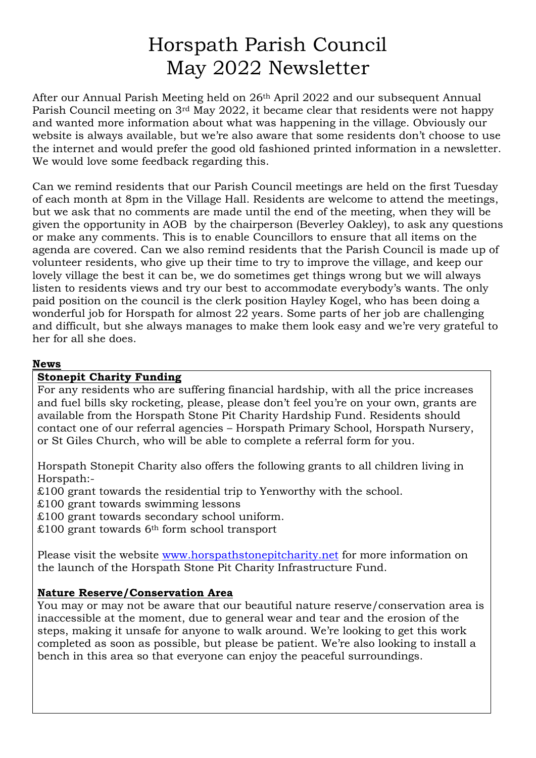# Horspath Parish Council May 2022 Newsletter

After our Annual Parish Meeting held on 26th April 2022 and our subsequent Annual Parish Council meeting on 3rd May 2022, it became clear that residents were not happy and wanted more information about what was happening in the village. Obviously our website is always available, but we're also aware that some residents don't choose to use the internet and would prefer the good old fashioned printed information in a newsletter. We would love some feedback regarding this.

Can we remind residents that our Parish Council meetings are held on the first Tuesday of each month at 8pm in the Village Hall. Residents are welcome to attend the meetings, but we ask that no comments are made until the end of the meeting, when they will be given the opportunity in AOB by the chairperson (Beverley Oakley), to ask any questions or make any comments. This is to enable Councillors to ensure that all items on the agenda are covered. Can we also remind residents that the Parish Council is made up of volunteer residents, who give up their time to try to improve the village, and keep our lovely village the best it can be, we do sometimes get things wrong but we will always listen to residents views and try our best to accommodate everybody's wants. The only paid position on the council is the clerk position Hayley Kogel, who has been doing a wonderful job for Horspath for almost 22 years. Some parts of her job are challenging and difficult, but she always manages to make them look easy and we're very grateful to her for all she does.

#### **News**

### **Stonepit Charity Funding**

For any residents who are suffering financial hardship, with all the price increases and fuel bills sky rocketing, please, please don't feel you're on your own, grants are available from the Horspath Stone Pit Charity Hardship Fund. Residents should contact one of our referral agencies – Horspath Primary School, Horspath Nursery, or St Giles Church, who will be able to complete a referral form for you.

Horspath Stonepit Charity also offers the following grants to all children living in Horspath:-

£100 grant towards the residential trip to Yenworthy with the school.

£100 grant towards swimming lessons

£100 grant towards secondary school uniform.

 $£100$  grant towards 6<sup>th</sup> form school transport

Please visit the website [www.horspathstonepitcharity.net](http://www.horspathstonepitcharity.net/) for more information on the launch of the Horspath Stone Pit Charity Infrastructure Fund.

### **Nature Reserve/Conservation Area**

You may or may not be aware that our beautiful nature reserve/conservation area is inaccessible at the moment, due to general wear and tear and the erosion of the steps, making it unsafe for anyone to walk around. We're looking to get this work completed as soon as possible, but please be patient. We're also looking to install a bench in this area so that everyone can enjoy the peaceful surroundings.